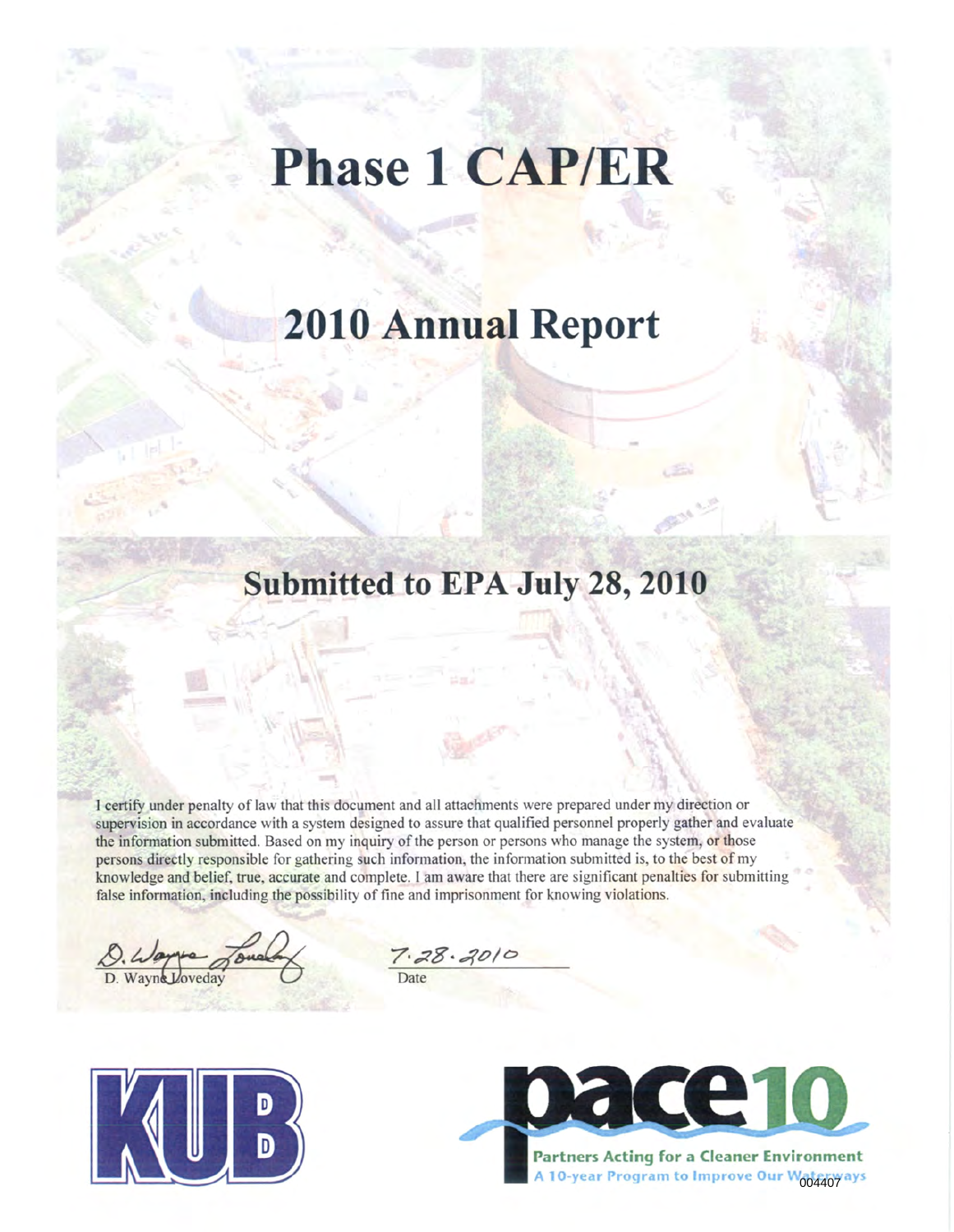# **Phase 1 CAP/ER**

## **2010 Annual Report**

### **Submitted to EPA July 28, 2010**

I certify under penalty of law that this document and all attachments were prepared under my direction or supervision in accordance with a system designed to assure that qualified personnel properly gather and evaluate the information submitted. Based on my inquiry of the person or persons who manage the system, or those persons directly responsible for gathering such information, the information submitted is, to the best of my knowledge and belief, true, accurate and complete. I am aware that there are significant penalties for submitting false information, including the possibility of fine and imprisonment for knowing violations.

D. Wayne Joue

 $7.28.2010$ Date



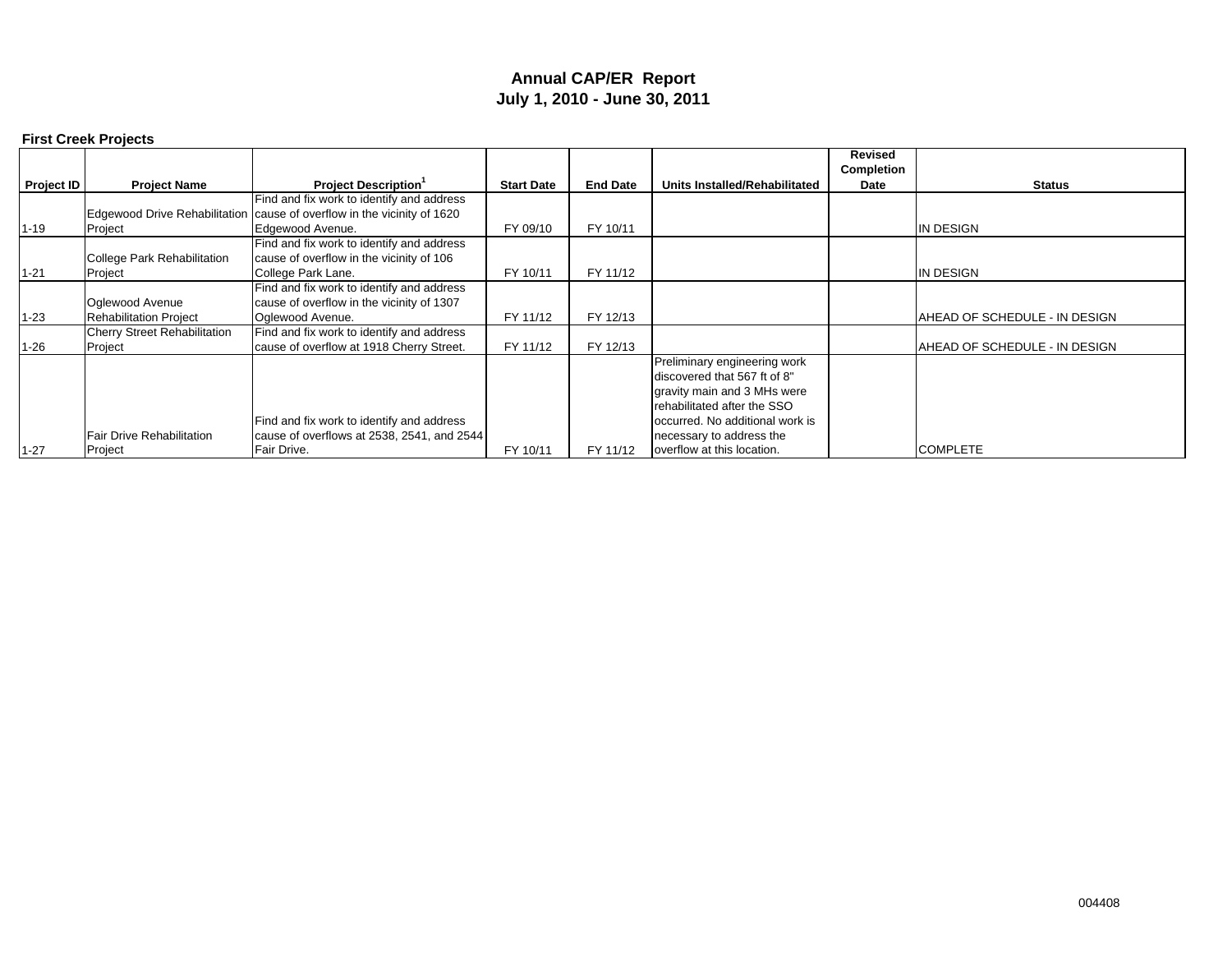#### **Annual CAP/ER Report July 1, 2010 - June 30, 2011**

|                   | <b>First Creek Projects</b>         |                                                                         |                   |                 |                                 |                              |                               |
|-------------------|-------------------------------------|-------------------------------------------------------------------------|-------------------|-----------------|---------------------------------|------------------------------|-------------------------------|
|                   |                                     |                                                                         |                   |                 |                                 | <b>Revised</b><br>Completion |                               |
| <b>Project ID</b> | <b>Project Name</b>                 | <b>Project Description</b> <sup>1</sup>                                 | <b>Start Date</b> | <b>End Date</b> | Units Installed/Rehabilitated   | Date                         | <b>Status</b>                 |
|                   |                                     | Find and fix work to identify and address                               |                   |                 |                                 |                              |                               |
|                   |                                     | Edgewood Drive Rehabilitation cause of overflow in the vicinity of 1620 |                   |                 |                                 |                              |                               |
| $1 - 19$          | Project                             | Edgewood Avenue.                                                        | FY 09/10          | FY 10/11        |                                 |                              | IN DESIGN                     |
|                   |                                     | Find and fix work to identify and address                               |                   |                 |                                 |                              |                               |
|                   | College Park Rehabilitation         | cause of overflow in the vicinity of 106                                |                   |                 |                                 |                              |                               |
| $1 - 21$          | Project                             | College Park Lane.                                                      | FY 10/11          | FY 11/12        |                                 |                              | IN DESIGN                     |
|                   |                                     | Find and fix work to identify and address                               |                   |                 |                                 |                              |                               |
|                   | Oglewood Avenue                     | cause of overflow in the vicinity of 1307                               |                   |                 |                                 |                              |                               |
| $1 - 23$          | <b>Rehabilitation Project</b>       | Oglewood Avenue.                                                        | FY 11/12          | FY 12/13        |                                 |                              | AHEAD OF SCHEDULE - IN DESIGN |
|                   | <b>Cherry Street Rehabilitation</b> | Find and fix work to identify and address                               |                   |                 |                                 |                              |                               |
| $1 - 26$          | Project                             | cause of overflow at 1918 Cherry Street.                                | FY 11/12          | FY 12/13        |                                 |                              | AHEAD OF SCHEDULE - IN DESIGN |
|                   |                                     |                                                                         |                   |                 | Preliminary engineering work    |                              |                               |
|                   |                                     |                                                                         |                   |                 | discovered that 567 ft of 8"    |                              |                               |
|                   |                                     |                                                                         |                   |                 | gravity main and 3 MHs were     |                              |                               |
|                   |                                     |                                                                         |                   |                 | rehabilitated after the SSO     |                              |                               |
|                   |                                     | Find and fix work to identify and address                               |                   |                 | occurred. No additional work is |                              |                               |
|                   | <b>Fair Drive Rehabilitation</b>    | cause of overflows at 2538, 2541, and 2544                              |                   |                 | necessary to address the        |                              |                               |
| $1 - 27$          | Project                             | Fair Drive.                                                             | FY 10/11          | FY 11/12        | overflow at this location.      |                              | <b>COMPLETE</b>               |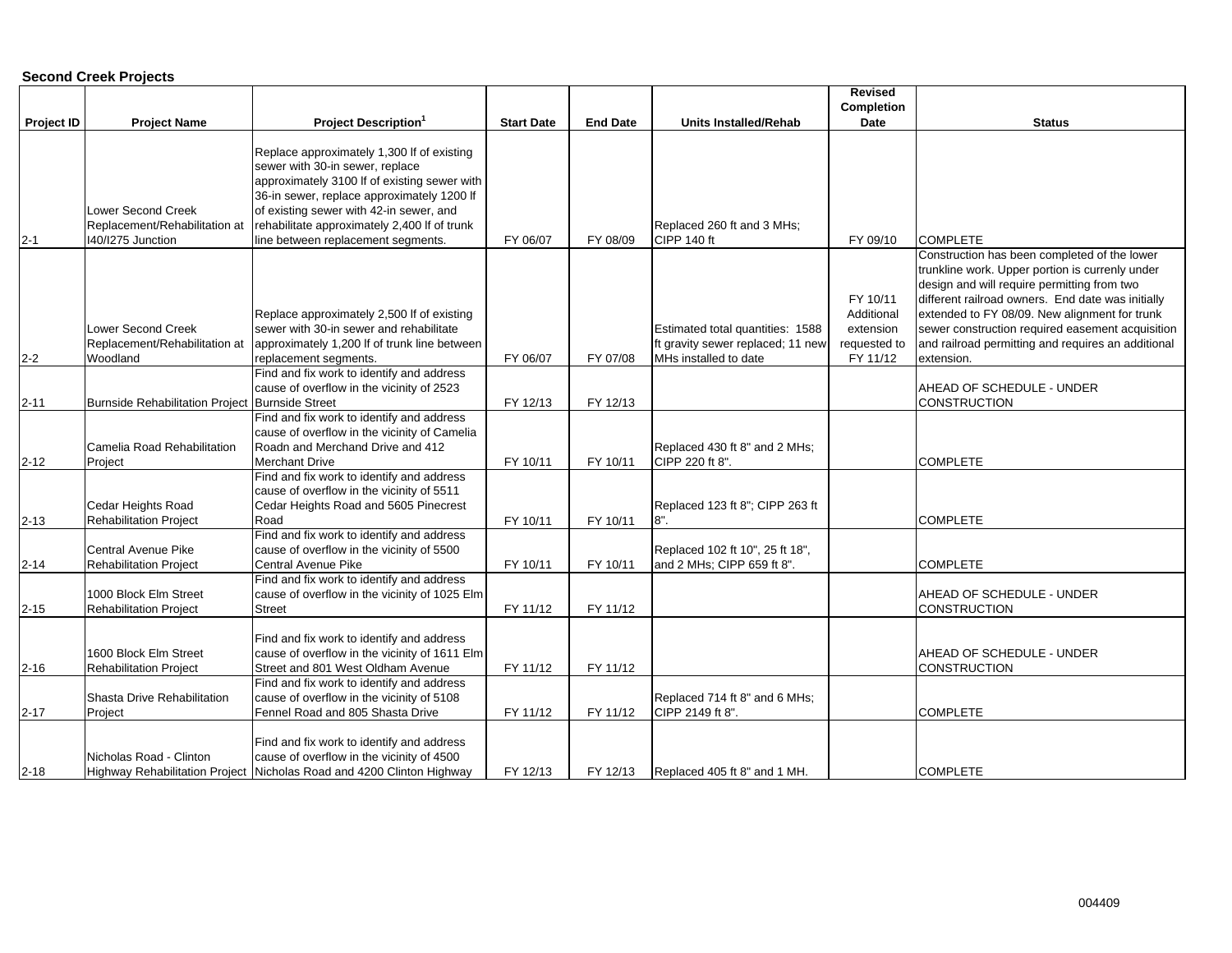#### **Second Creek Projects**

|                   |                                                                          |                                                                                                                                                                             |                   |                 |                                                                                                | <b>Revised</b>                                                  |                                                                                                                                                                                                                                                                                                                                                                              |
|-------------------|--------------------------------------------------------------------------|-----------------------------------------------------------------------------------------------------------------------------------------------------------------------------|-------------------|-----------------|------------------------------------------------------------------------------------------------|-----------------------------------------------------------------|------------------------------------------------------------------------------------------------------------------------------------------------------------------------------------------------------------------------------------------------------------------------------------------------------------------------------------------------------------------------------|
|                   |                                                                          |                                                                                                                                                                             |                   |                 |                                                                                                | Completion                                                      |                                                                                                                                                                                                                                                                                                                                                                              |
| <b>Project ID</b> | <b>Project Name</b>                                                      | <b>Project Description</b>                                                                                                                                                  | <b>Start Date</b> | <b>End Date</b> | <b>Units Installed/Rehab</b>                                                                   | Date                                                            | <b>Status</b>                                                                                                                                                                                                                                                                                                                                                                |
|                   |                                                                          | Replace approximately 1,300 If of existing<br>sewer with 30-in sewer, replace<br>approximately 3100 If of existing sewer with                                               |                   |                 |                                                                                                |                                                                 |                                                                                                                                                                                                                                                                                                                                                                              |
| $2 - 1$           | Lower Second Creek<br>Replacement/Rehabilitation at<br>I40/I275 Junction | 36-in sewer, replace approximately 1200 If<br>of existing sewer with 42-in sewer, and<br>rehabilitate approximately 2,400 If of trunk<br>line between replacement segments. | FY 06/07          | FY 08/09        | Replaced 260 ft and 3 MHs;<br>CIPP 140 ft                                                      | FY 09/10                                                        | <b>COMPLETE</b>                                                                                                                                                                                                                                                                                                                                                              |
| $2 - 2$           | ower Second Creek<br>Replacement/Rehabilitation at<br>Woodland           | Replace approximately 2,500 If of existing<br>sewer with 30-in sewer and rehabilitate<br>approximately 1,200 If of trunk line between<br>replacement segments.              | FY 06/07          | FY 07/08        | Estimated total quantities: 1588<br>ft gravity sewer replaced; 11 new<br>MHs installed to date | FY 10/11<br>Additional<br>extension<br>requested to<br>FY 11/12 | Construction has been completed of the lower<br>trunkline work. Upper portion is currenly under<br>design and will require permitting from two<br>different railroad owners. End date was initially<br>extended to FY 08/09. New alignment for trunk<br>sewer construction required easement acquisition<br>and railroad permitting and requires an additional<br>extension. |
| $2 - 11$          | Burnside Rehabilitation Project Burnside Street                          | Find and fix work to identify and address<br>cause of overflow in the vicinity of 2523                                                                                      | FY 12/13          | FY 12/13        |                                                                                                |                                                                 | AHEAD OF SCHEDULE - UNDER<br><b>CONSTRUCTION</b>                                                                                                                                                                                                                                                                                                                             |
| $2 - 12$          | Camelia Road Rehabilitation<br>Project                                   | Find and fix work to identify and address<br>cause of overflow in the vicinity of Camelia<br>Roadn and Merchand Drive and 412<br><b>Merchant Drive</b>                      | FY 10/11          | FY 10/11        | Replaced 430 ft 8" and 2 MHs;<br>CIPP 220 ft 8".                                               |                                                                 | <b>COMPLETE</b>                                                                                                                                                                                                                                                                                                                                                              |
| $2 - 13$          | Cedar Heights Road<br><b>Rehabilitation Project</b>                      | Find and fix work to identify and address<br>cause of overflow in the vicinity of 5511<br>Cedar Heights Road and 5605 Pinecrest<br>Road                                     | FY 10/11          | FY 10/11        | Replaced 123 ft 8"; CIPP 263 ft<br>8".                                                         |                                                                 | <b>COMPLETE</b>                                                                                                                                                                                                                                                                                                                                                              |
| $2 - 14$          | Central Avenue Pike<br><b>Rehabilitation Project</b>                     | Find and fix work to identify and address<br>cause of overflow in the vicinity of 5500<br>Central Avenue Pike                                                               | FY 10/11          | FY 10/11        | Replaced 102 ft 10", 25 ft 18",<br>and 2 MHs; CIPP 659 ft 8".                                  |                                                                 | <b>COMPLETE</b>                                                                                                                                                                                                                                                                                                                                                              |
| $2 - 15$          | 1000 Block Elm Street<br><b>Rehabilitation Project</b>                   | Find and fix work to identify and address<br>cause of overflow in the vicinity of 1025 Elm<br><b>Street</b>                                                                 | FY 11/12          | FY 11/12        |                                                                                                |                                                                 | AHEAD OF SCHEDULE - UNDER<br><b>CONSTRUCTION</b>                                                                                                                                                                                                                                                                                                                             |
| $2 - 16$          | 1600 Block Elm Street<br><b>Rehabilitation Project</b>                   | Find and fix work to identify and address<br>cause of overflow in the vicinity of 1611 Elm<br>Street and 801 West Oldham Avenue                                             | FY 11/12          | FY 11/12        |                                                                                                |                                                                 | AHEAD OF SCHEDULE - UNDER<br><b>CONSTRUCTION</b>                                                                                                                                                                                                                                                                                                                             |
| $2 - 17$          | Shasta Drive Rehabilitation<br>Project                                   | Find and fix work to identify and address<br>cause of overflow in the vicinity of 5108<br>Fennel Road and 805 Shasta Drive                                                  | FY 11/12          | FY 11/12        | Replaced 714 ft 8" and 6 MHs;<br>CIPP 2149 ft 8".                                              |                                                                 | <b>COMPLETE</b>                                                                                                                                                                                                                                                                                                                                                              |
| $2 - 18$          | Nicholas Road - Clinton                                                  | Find and fix work to identify and address<br>cause of overflow in the vicinity of 4500<br>Highway Rehabilitation Project Nicholas Road and 4200 Clinton Highway             | FY 12/13          | FY 12/13        | Replaced 405 ft 8" and 1 MH.                                                                   |                                                                 | <b>COMPLETE</b>                                                                                                                                                                                                                                                                                                                                                              |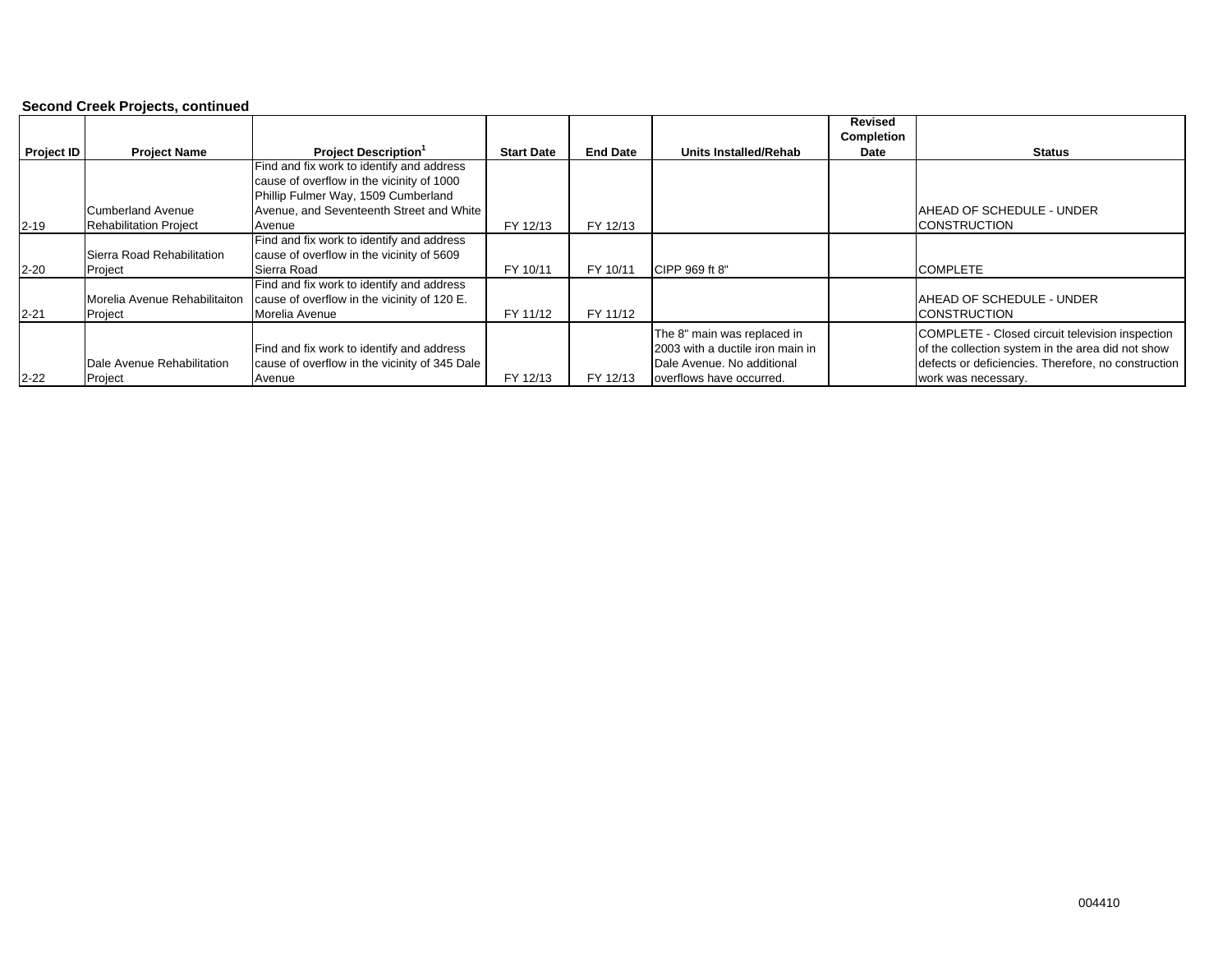#### **Second Creek Projects, continued**

|                   |                               |                                               |                   |                 |                                  | Revised<br>Completion |                                                     |
|-------------------|-------------------------------|-----------------------------------------------|-------------------|-----------------|----------------------------------|-----------------------|-----------------------------------------------------|
| <b>Project ID</b> | <b>Project Name</b>           | <b>Project Description</b> <sup>1</sup>       | <b>Start Date</b> | <b>End Date</b> | Units Installed/Rehab            | Date                  | <b>Status</b>                                       |
|                   |                               | Find and fix work to identify and address     |                   |                 |                                  |                       |                                                     |
|                   |                               | cause of overflow in the vicinity of 1000     |                   |                 |                                  |                       |                                                     |
|                   |                               | Phillip Fulmer Way, 1509 Cumberland           |                   |                 |                                  |                       |                                                     |
|                   | <b>Cumberland Avenue</b>      | Avenue, and Seventeenth Street and White      |                   |                 |                                  |                       | AHEAD OF SCHEDULE - UNDER                           |
| $2 - 19$          | <b>Rehabilitation Project</b> | Avenue                                        | FY 12/13          | FY 12/13        |                                  |                       | <b>CONSTRUCTION</b>                                 |
|                   |                               | Find and fix work to identify and address     |                   |                 |                                  |                       |                                                     |
|                   | Sierra Road Rehabilitation    | cause of overflow in the vicinity of 5609     |                   |                 |                                  |                       |                                                     |
| $2 - 20$          | Project                       | Sierra Road                                   | FY 10/11          | FY 10/11        | CIPP 969 ft 8"                   |                       | <b>COMPLETE</b>                                     |
|                   |                               | Find and fix work to identify and address     |                   |                 |                                  |                       |                                                     |
|                   | Morelia Avenue Rehabilitaiton | cause of overflow in the vicinity of 120 E.   |                   |                 |                                  |                       | AHEAD OF SCHEDULE - UNDER                           |
| $2 - 21$          | Project                       | Morelia Avenue                                | FY 11/12          | FY 11/12        |                                  |                       | <b>CONSTRUCTION</b>                                 |
|                   |                               |                                               |                   |                 | The 8" main was replaced in      |                       | COMPLETE - Closed circuit television inspection     |
|                   |                               | Find and fix work to identify and address     |                   |                 | 2003 with a ductile iron main in |                       | of the collection system in the area did not show   |
|                   | Dale Avenue Rehabilitation    | cause of overflow in the vicinity of 345 Dale |                   |                 | Dale Avenue. No additional       |                       | defects or deficiencies. Therefore, no construction |
| $2 - 22$          | Project                       | Avenue                                        | FY 12/13          | FY 12/13        | overflows have occurred.         |                       | work was necessary.                                 |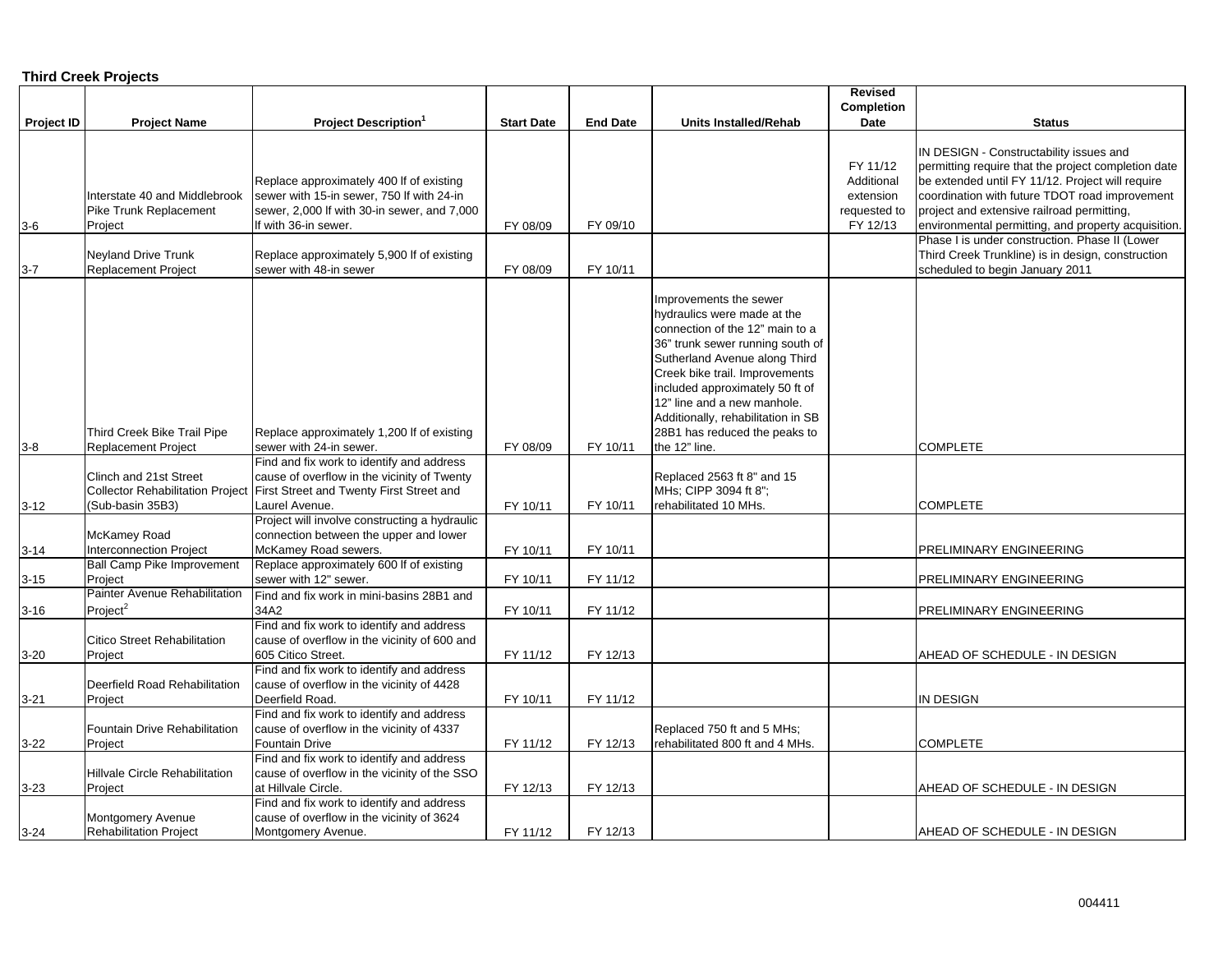#### **Third Creek Projects**

|                   |                                                                                                  |                                                                                                                                                                                                            |                   |                 |                                                                                                                                                                                                                                                                                                                                                           | Revised                                                         |                                                                                                                                                                                                                                                                                                                                                                                                                  |
|-------------------|--------------------------------------------------------------------------------------------------|------------------------------------------------------------------------------------------------------------------------------------------------------------------------------------------------------------|-------------------|-----------------|-----------------------------------------------------------------------------------------------------------------------------------------------------------------------------------------------------------------------------------------------------------------------------------------------------------------------------------------------------------|-----------------------------------------------------------------|------------------------------------------------------------------------------------------------------------------------------------------------------------------------------------------------------------------------------------------------------------------------------------------------------------------------------------------------------------------------------------------------------------------|
|                   |                                                                                                  |                                                                                                                                                                                                            |                   |                 |                                                                                                                                                                                                                                                                                                                                                           | <b>Completion</b>                                               |                                                                                                                                                                                                                                                                                                                                                                                                                  |
| <b>Project ID</b> | <b>Project Name</b>                                                                              | <b>Project Description</b>                                                                                                                                                                                 | <b>Start Date</b> | <b>End Date</b> | Units Installed/Rehab                                                                                                                                                                                                                                                                                                                                     | Date                                                            | <b>Status</b>                                                                                                                                                                                                                                                                                                                                                                                                    |
| $3-6$             | Interstate 40 and Middlebrook<br>Pike Trunk Replacement<br>Project<br><b>Neyland Drive Trunk</b> | Replace approximately 400 If of existing<br>sewer with 15-in sewer, 750 If with 24-in<br>sewer, 2,000 If with 30-in sewer, and 7,000<br>If with 36-in sewer.<br>Replace approximately 5,900 If of existing | FY 08/09          | FY 09/10        |                                                                                                                                                                                                                                                                                                                                                           | FY 11/12<br>Additional<br>extension<br>requested to<br>FY 12/13 | IN DESIGN - Constructability issues and<br>permitting require that the project completion date<br>be extended until FY 11/12. Project will require<br>coordination with future TDOT road improvement<br>project and extensive railroad permitting,<br>environmental permitting, and property acquisition.<br>Phase I is under construction. Phase II (Lower<br>Third Creek Trunkline) is in design, construction |
| $3 - 7$           | <b>Replacement Project</b>                                                                       | sewer with 48-in sewer                                                                                                                                                                                     | FY 08/09          | FY 10/11        |                                                                                                                                                                                                                                                                                                                                                           |                                                                 | scheduled to begin January 2011                                                                                                                                                                                                                                                                                                                                                                                  |
| $3-8$             | Third Creek Bike Trail Pipe<br><b>Replacement Project</b>                                        | Replace approximately 1,200 If of existing<br>sewer with 24-in sewer.                                                                                                                                      | FY 08/09          | FY 10/11        | Improvements the sewer<br>hydraulics were made at the<br>connection of the 12" main to a<br>36" trunk sewer running south of<br>Sutherland Avenue along Third<br>Creek bike trail. Improvements<br>included approximately 50 ft of<br>12" line and a new manhole.<br>Additionally, rehabilitation in SB<br>28B1 has reduced the peaks to<br>the 12" line. |                                                                 | <b>COMPLETE</b>                                                                                                                                                                                                                                                                                                                                                                                                  |
|                   |                                                                                                  | Find and fix work to identify and address                                                                                                                                                                  |                   |                 |                                                                                                                                                                                                                                                                                                                                                           |                                                                 |                                                                                                                                                                                                                                                                                                                                                                                                                  |
| $3-12$            | Clinch and 21st Street<br>(Sub-basin 35B3)                                                       | cause of overflow in the vicinity of Twenty<br>Collector Rehabilitation Project First Street and Twenty First Street and<br>Laurel Avenue.                                                                 | FY 10/11          | FY 10/11        | Replaced 2563 ft 8" and 15<br>MHs; CIPP 3094 ft 8";<br>rehabilitated 10 MHs.                                                                                                                                                                                                                                                                              |                                                                 | <b>COMPLETE</b>                                                                                                                                                                                                                                                                                                                                                                                                  |
|                   |                                                                                                  | Project will involve constructing a hydraulic                                                                                                                                                              |                   |                 |                                                                                                                                                                                                                                                                                                                                                           |                                                                 |                                                                                                                                                                                                                                                                                                                                                                                                                  |
| $3 - 14$          | <b>McKamey Road</b><br><b>Interconnection Project</b>                                            | connection between the upper and lower<br>McKamey Road sewers.                                                                                                                                             | FY 10/11          | FY 10/11        |                                                                                                                                                                                                                                                                                                                                                           |                                                                 | PRELIMINARY ENGINEERING                                                                                                                                                                                                                                                                                                                                                                                          |
|                   | <b>Ball Camp Pike Improvement</b>                                                                | Replace approximately 600 If of existing                                                                                                                                                                   |                   |                 |                                                                                                                                                                                                                                                                                                                                                           |                                                                 |                                                                                                                                                                                                                                                                                                                                                                                                                  |
| $3 - 15$          | Project                                                                                          | sewer with 12" sewer.                                                                                                                                                                                      | FY 10/11          | FY 11/12        |                                                                                                                                                                                                                                                                                                                                                           |                                                                 | PRELIMINARY ENGINEERING                                                                                                                                                                                                                                                                                                                                                                                          |
|                   | Painter Avenue Rehabilitation                                                                    | Find and fix work in mini-basins 28B1 and                                                                                                                                                                  |                   |                 |                                                                                                                                                                                                                                                                                                                                                           |                                                                 |                                                                                                                                                                                                                                                                                                                                                                                                                  |
| $3 - 16$          | Project <sup>2</sup>                                                                             | 34A2                                                                                                                                                                                                       | FY 10/11          | FY 11/12        |                                                                                                                                                                                                                                                                                                                                                           |                                                                 | PRELIMINARY ENGINEERING                                                                                                                                                                                                                                                                                                                                                                                          |
| $3 - 20$          | <b>Citico Street Rehabilitation</b><br>Project                                                   | Find and fix work to identify and address<br>cause of overflow in the vicinity of 600 and<br>605 Citico Street.                                                                                            | FY 11/12          | FY 12/13        |                                                                                                                                                                                                                                                                                                                                                           |                                                                 | AHEAD OF SCHEDULE - IN DESIGN                                                                                                                                                                                                                                                                                                                                                                                    |
| $3 - 21$          | Deerfield Road Rehabilitation<br>Project                                                         | Find and fix work to identify and address<br>cause of overflow in the vicinity of 4428<br>Deerfield Road.                                                                                                  | FY 10/11          | FY 11/12        |                                                                                                                                                                                                                                                                                                                                                           |                                                                 | IN DESIGN                                                                                                                                                                                                                                                                                                                                                                                                        |
| $3 - 22$          | Fountain Drive Rehabilitation<br>Project                                                         | Find and fix work to identify and address<br>cause of overflow in the vicinity of 4337<br><b>Fountain Drive</b>                                                                                            | FY 11/12          | FY 12/13        | Replaced 750 ft and 5 MHs;<br>rehabilitated 800 ft and 4 MHs.                                                                                                                                                                                                                                                                                             |                                                                 | <b>COMPLETE</b>                                                                                                                                                                                                                                                                                                                                                                                                  |
| $3 - 23$          | <b>Hillvale Circle Rehabilitation</b><br>Project                                                 | Find and fix work to identify and address<br>cause of overflow in the vicinity of the SSO<br>at Hillvale Circle.                                                                                           | FY 12/13          | FY 12/13        |                                                                                                                                                                                                                                                                                                                                                           |                                                                 | AHEAD OF SCHEDULE - IN DESIGN                                                                                                                                                                                                                                                                                                                                                                                    |
| $3 - 24$          | Montgomery Avenue<br>Rehabilitation Project                                                      | Find and fix work to identify and address<br>cause of overflow in the vicinity of 3624<br>Montgomery Avenue.                                                                                               | FY 11/12          | FY 12/13        |                                                                                                                                                                                                                                                                                                                                                           |                                                                 | AHEAD OF SCHEDULE - IN DESIGN                                                                                                                                                                                                                                                                                                                                                                                    |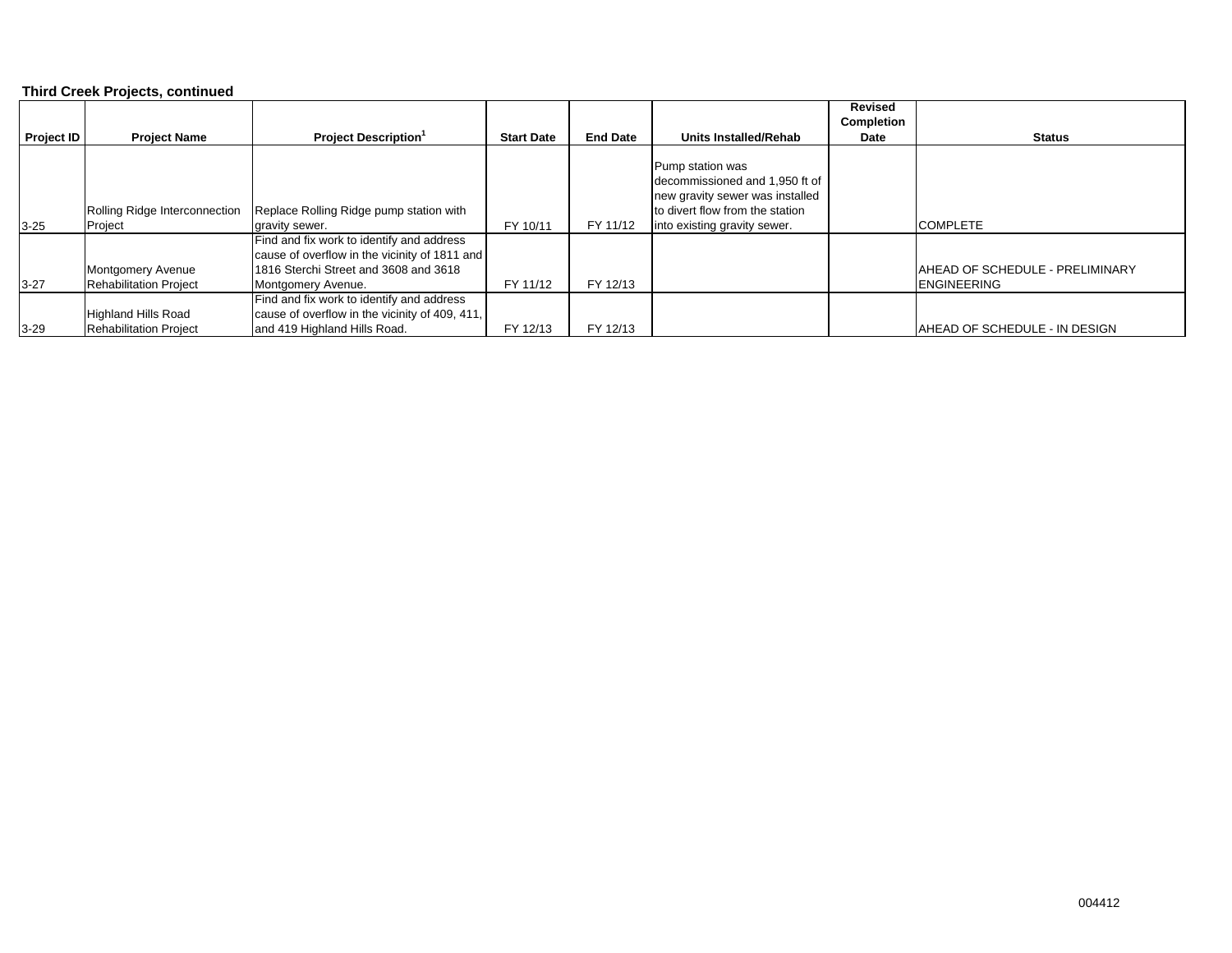#### **Third Creek Projects, continued**

|                   |                               |                                                |                   |                 |                                 | <b>Revised</b> |                                        |
|-------------------|-------------------------------|------------------------------------------------|-------------------|-----------------|---------------------------------|----------------|----------------------------------------|
|                   |                               |                                                |                   |                 |                                 | Completion     |                                        |
| <b>Project ID</b> | <b>Project Name</b>           | <b>Project Description</b>                     | <b>Start Date</b> | <b>End Date</b> | Units Installed/Rehab           | Date           | Status                                 |
|                   |                               |                                                |                   |                 |                                 |                |                                        |
|                   |                               |                                                |                   |                 | Pump station was                |                |                                        |
|                   |                               |                                                |                   |                 | decommissioned and 1,950 ft of  |                |                                        |
|                   |                               |                                                |                   |                 | new gravity sewer was installed |                |                                        |
|                   | Rolling Ridge Interconnection | Replace Rolling Ridge pump station with        |                   |                 | to divert flow from the station |                |                                        |
| $3 - 25$          | Project                       | gravity sewer.                                 | FY 10/11          | FY 11/12        | into existing gravity sewer.    |                | <b>COMPLETE</b>                        |
|                   |                               | Find and fix work to identify and address      |                   |                 |                                 |                |                                        |
|                   |                               | cause of overflow in the vicinity of 1811 and  |                   |                 |                                 |                |                                        |
|                   | Montgomery Avenue             | 1816 Sterchi Street and 3608 and 3618          |                   |                 |                                 |                | <b>AHEAD OF SCHEDULE - PRELIMINARY</b> |
| $3-27$            | <b>Rehabilitation Project</b> | Montgomery Avenue.                             | FY 11/12          | FY 12/13        |                                 |                | <b>IENGINEERING</b>                    |
|                   |                               | Find and fix work to identify and address      |                   |                 |                                 |                |                                        |
|                   | <b>Highland Hills Road</b>    | cause of overflow in the vicinity of 409, 411, |                   |                 |                                 |                |                                        |
| $3 - 29$          | <b>Rehabilitation Project</b> | and 419 Highland Hills Road.                   | FY 12/13          | FY 12/13        |                                 |                | AHEAD OF SCHEDULE - IN DESIGN          |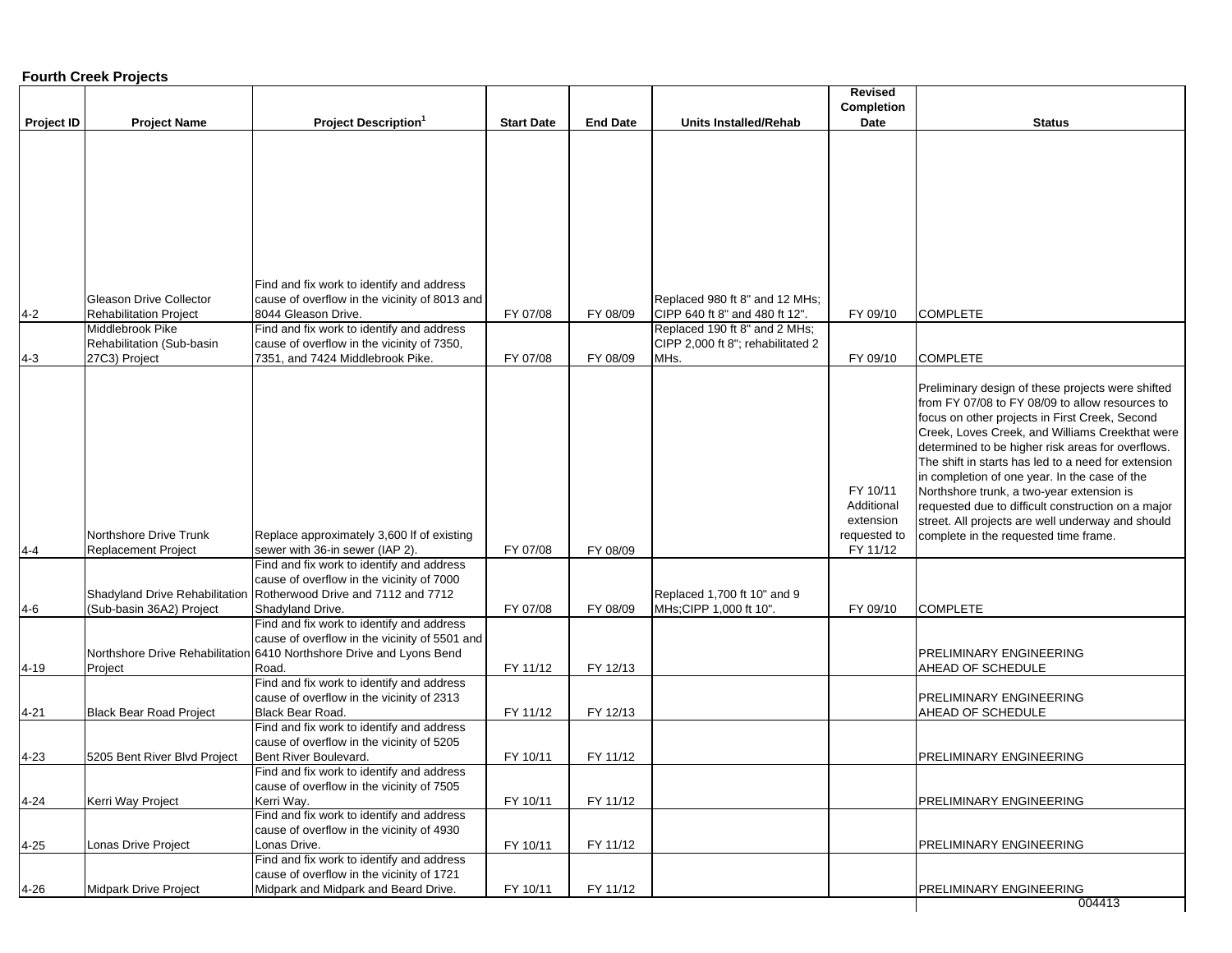#### **Fourth Creek Projects**

|                      |                                                                 |                                                                                                                                                                             |                      |                 |                                                                  | <b>Revised</b>                                                  |                                                                                                                                                                                                                                                                                                                                                                                                                                                                                                                                                                         |
|----------------------|-----------------------------------------------------------------|-----------------------------------------------------------------------------------------------------------------------------------------------------------------------------|----------------------|-----------------|------------------------------------------------------------------|-----------------------------------------------------------------|-------------------------------------------------------------------------------------------------------------------------------------------------------------------------------------------------------------------------------------------------------------------------------------------------------------------------------------------------------------------------------------------------------------------------------------------------------------------------------------------------------------------------------------------------------------------------|
|                      |                                                                 |                                                                                                                                                                             |                      |                 |                                                                  | Completion                                                      |                                                                                                                                                                                                                                                                                                                                                                                                                                                                                                                                                                         |
| <b>Project ID</b>    | <b>Project Name</b>                                             | <b>Project Description</b> <sup>1</sup>                                                                                                                                     | <b>Start Date</b>    | <b>End Date</b> | <b>Units Installed/Rehab</b>                                     | Date                                                            | <b>Status</b>                                                                                                                                                                                                                                                                                                                                                                                                                                                                                                                                                           |
| $4 - 2$              | <b>Gleason Drive Collector</b><br><b>Rehabilitation Project</b> | Find and fix work to identify and address<br>cause of overflow in the vicinity of 8013 and<br>8044 Gleason Drive.                                                           | FY 07/08             | FY 08/09        | Replaced 980 ft 8" and 12 MHs;<br>CIPP 640 ft 8" and 480 ft 12". | FY 09/10                                                        | <b>COMPLETE</b>                                                                                                                                                                                                                                                                                                                                                                                                                                                                                                                                                         |
|                      | Middlebrook Pike                                                | Find and fix work to identify and address                                                                                                                                   |                      |                 | Replaced 190 ft 8" and 2 MHs;                                    |                                                                 |                                                                                                                                                                                                                                                                                                                                                                                                                                                                                                                                                                         |
| $4 - 3$              | Rehabilitation (Sub-basin<br>27C3) Project                      | cause of overflow in the vicinity of 7350,<br>7351, and 7424 Middlebrook Pike.                                                                                              | FY 07/08             | FY 08/09        | CIPP 2,000 ft 8"; rehabilitated 2<br>MHs.                        | FY 09/10                                                        | <b>COMPLETE</b>                                                                                                                                                                                                                                                                                                                                                                                                                                                                                                                                                         |
| $4 - 4$              | Northshore Drive Trunk<br><b>Replacement Project</b>            | Replace approximately 3,600 If of existing<br>sewer with 36-in sewer (IAP 2).                                                                                               | FY 07/08             | FY 08/09        |                                                                  | FY 10/11<br>Additional<br>extension<br>requested to<br>FY 11/12 | Preliminary design of these projects were shifted<br>from FY 07/08 to FY 08/09 to allow resources to<br>focus on other projects in First Creek, Second<br>Creek, Loves Creek, and Williams Creekthat were<br>determined to be higher risk areas for overflows.<br>The shift in starts has led to a need for extension<br>in completion of one year. In the case of the<br>Northshore trunk, a two-year extension is<br>requested due to difficult construction on a major<br>street. All projects are well underway and should<br>complete in the requested time frame. |
|                      |                                                                 | Find and fix work to identify and address                                                                                                                                   |                      |                 |                                                                  |                                                                 |                                                                                                                                                                                                                                                                                                                                                                                                                                                                                                                                                                         |
| $4 - 6$              | Shadyland Drive Rehabilitation<br>(Sub-basin 36A2) Project      | cause of overflow in the vicinity of 7000<br>Rotherwood Drive and 7112 and 7712<br>Shadyland Drive.                                                                         | FY 07/08             | FY 08/09        | Replaced 1,700 ft 10" and 9<br>MHs; CIPP 1,000 ft 10".           | FY 09/10                                                        | <b>COMPLETE</b>                                                                                                                                                                                                                                                                                                                                                                                                                                                                                                                                                         |
| $4 - 19$             | Project                                                         | Find and fix work to identify and address<br>cause of overflow in the vicinity of 5501 and<br>Northshore Drive Rehabilitation 6410 Northshore Drive and Lyons Bend<br>Road. | FY 11/12             | FY 12/13        |                                                                  |                                                                 | <b>PRELIMINARY ENGINEERING</b><br>AHEAD OF SCHEDULE                                                                                                                                                                                                                                                                                                                                                                                                                                                                                                                     |
|                      |                                                                 | Find and fix work to identify and address                                                                                                                                   |                      |                 |                                                                  |                                                                 |                                                                                                                                                                                                                                                                                                                                                                                                                                                                                                                                                                         |
|                      |                                                                 | cause of overflow in the vicinity of 2313                                                                                                                                   |                      | FY 12/13        |                                                                  |                                                                 | <b>PRELIMINARY ENGINEERING</b>                                                                                                                                                                                                                                                                                                                                                                                                                                                                                                                                          |
| $4 - 21$<br>$4 - 23$ | <b>Black Bear Road Project</b><br>5205 Bent River Blvd Project  | Black Bear Road.<br>Find and fix work to identify and address<br>cause of overflow in the vicinity of 5205<br>Bent River Boulevard.                                         | FY 11/12<br>FY 10/11 | FY 11/12        |                                                                  |                                                                 | AHEAD OF SCHEDULE<br><b>PRELIMINARY ENGINEERING</b>                                                                                                                                                                                                                                                                                                                                                                                                                                                                                                                     |
| $4 - 24$             | Kerri Way Project                                               | Find and fix work to identify and address<br>cause of overflow in the vicinity of 7505<br>Kerri Way.<br>Find and fix work to identify and address                           | FY 10/11             | FY 11/12        |                                                                  |                                                                 | <b>PRELIMINARY ENGINEERING</b>                                                                                                                                                                                                                                                                                                                                                                                                                                                                                                                                          |
| $4 - 25$             | Lonas Drive Project                                             | cause of overflow in the vicinity of 4930<br>Lonas Drive.<br>Find and fix work to identify and address                                                                      | FY 10/11             | FY 11/12        |                                                                  |                                                                 | <b>PRELIMINARY ENGINEERING</b>                                                                                                                                                                                                                                                                                                                                                                                                                                                                                                                                          |
| $4 - 26$             | Midpark Drive Project                                           | cause of overflow in the vicinity of 1721<br>Midpark and Midpark and Beard Drive.                                                                                           | FY 10/11             | FY 11/12        |                                                                  |                                                                 | PRELIMINARY ENGINEERING<br>004413                                                                                                                                                                                                                                                                                                                                                                                                                                                                                                                                       |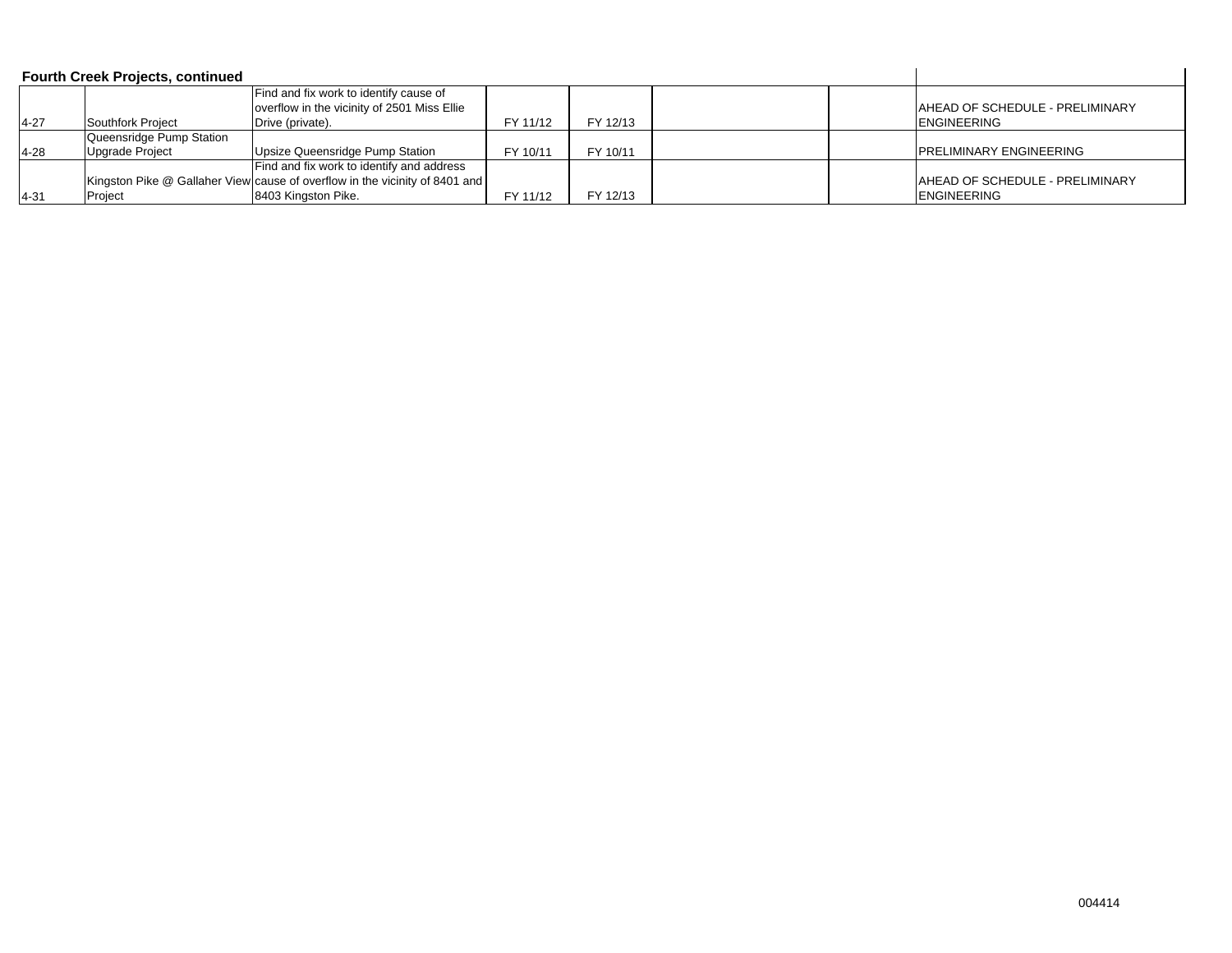|          | <b>Fourth Creek Projects, continued</b> |                                                                                       |          |          |  |                                        |
|----------|-----------------------------------------|---------------------------------------------------------------------------------------|----------|----------|--|----------------------------------------|
|          |                                         | Find and fix work to identify cause of<br>overflow in the vicinity of 2501 Miss Ellie |          |          |  | <b>AHEAD OF SCHEDULE - PRELIMINARY</b> |
| $4 - 27$ | Southfork Project                       | Drive (private).                                                                      | FY 11/12 | FY 12/13 |  | <b>ENGINEERING</b>                     |
|          | Queensridge Pump Station                |                                                                                       |          |          |  |                                        |
| $4 - 28$ | <b>Upgrade Project</b>                  | Upsize Queensridge Pump Station                                                       | FY 10/11 | FY 10/11 |  | <b>IPRELIMINARY ENGINEERING</b>        |
|          |                                         | Find and fix work to identify and address                                             |          |          |  |                                        |
|          |                                         | Kingston Pike @ Gallaher View cause of overflow in the vicinity of 8401 and           |          |          |  | <b>AHEAD OF SCHEDULE - PRELIMINARY</b> |
| $4 - 31$ | Proiect                                 | 8403 Kingston Pike.                                                                   | FY 11/12 | FY 12/13 |  | <b>IENGINEERING</b>                    |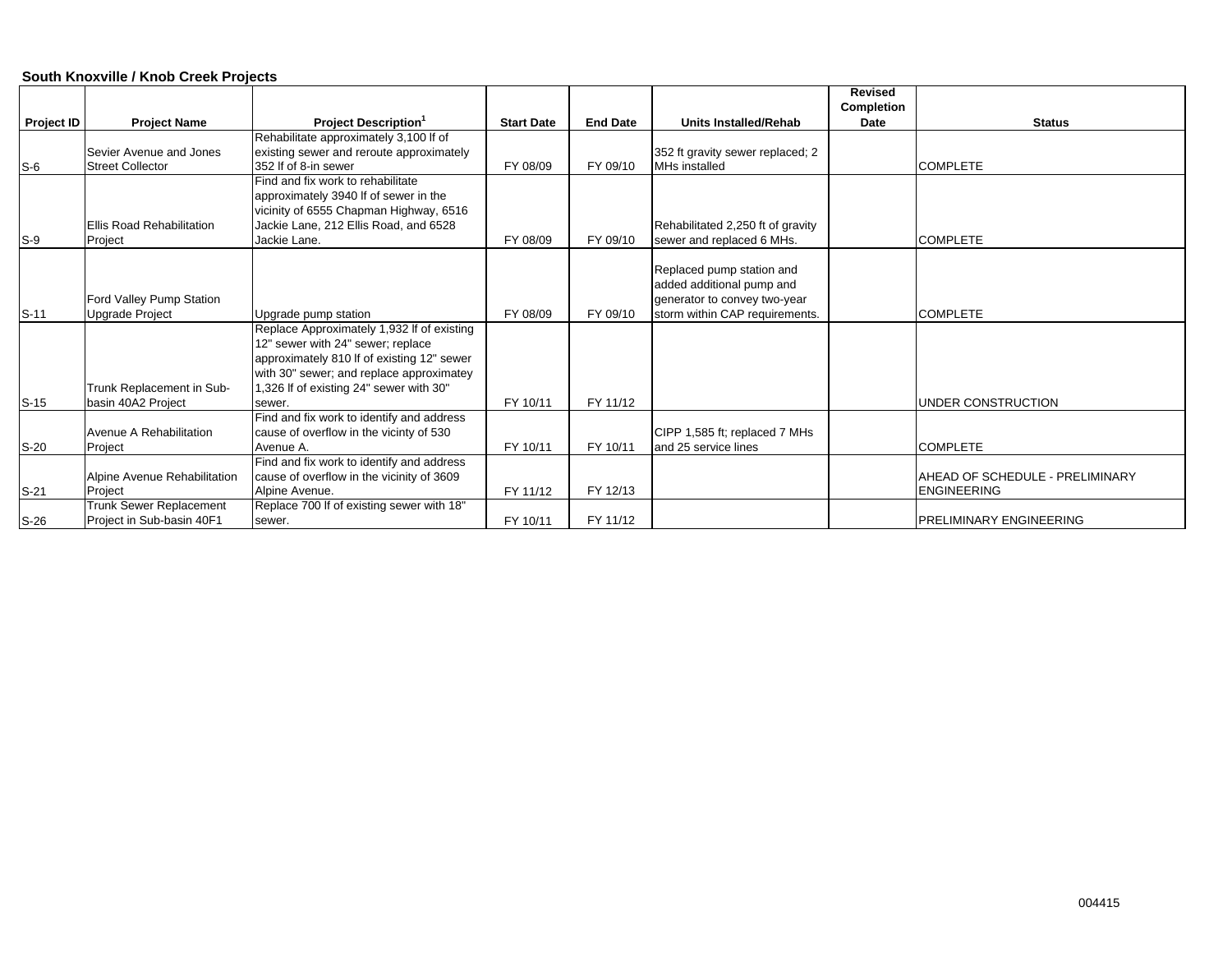#### **South Knoxville / Knob Creek Projects**

|                   |                                  |                                            |                   |                 |                                   | <b>Revised</b>    |                                 |
|-------------------|----------------------------------|--------------------------------------------|-------------------|-----------------|-----------------------------------|-------------------|---------------------------------|
|                   |                                  |                                            |                   |                 |                                   | <b>Completion</b> |                                 |
| <b>Project ID</b> | <b>Project Name</b>              | <b>Project Description</b> <sup>1</sup>    | <b>Start Date</b> | <b>End Date</b> | <b>Units Installed/Rehab</b>      | Date              | <b>Status</b>                   |
|                   |                                  | Rehabilitate approximately 3,100 If of     |                   |                 |                                   |                   |                                 |
|                   | Sevier Avenue and Jones          | existing sewer and reroute approximately   |                   |                 | 352 ft gravity sewer replaced; 2  |                   |                                 |
| $S-6$             | <b>Street Collector</b>          | 352 If of 8-in sewer                       | FY 08/09          | FY 09/10        | MHs installed                     |                   | <b>COMPLETE</b>                 |
|                   |                                  | Find and fix work to rehabilitate          |                   |                 |                                   |                   |                                 |
|                   |                                  | approximately 3940 If of sewer in the      |                   |                 |                                   |                   |                                 |
|                   |                                  | vicinity of 6555 Chapman Highway, 6516     |                   |                 |                                   |                   |                                 |
|                   | <b>Ellis Road Rehabilitation</b> | Jackie Lane, 212 Ellis Road, and 6528      |                   |                 | Rehabilitated 2,250 ft of gravity |                   |                                 |
| $S-9$             | Project                          | Jackie Lane.                               | FY 08/09          | FY 09/10        | sewer and replaced 6 MHs.         |                   | <b>COMPLETE</b>                 |
|                   |                                  |                                            |                   |                 |                                   |                   |                                 |
|                   |                                  |                                            |                   |                 | Replaced pump station and         |                   |                                 |
|                   |                                  |                                            |                   |                 | added additional pump and         |                   |                                 |
|                   | Ford Valley Pump Station         |                                            |                   |                 | generator to convey two-year      |                   |                                 |
| $S-11$            | <b>Upgrade Project</b>           | Upgrade pump station                       | FY 08/09          | FY 09/10        | storm within CAP requirements.    |                   | <b>COMPLETE</b>                 |
|                   |                                  | Replace Approximately 1,932 If of existing |                   |                 |                                   |                   |                                 |
|                   |                                  | 12" sewer with 24" sewer; replace          |                   |                 |                                   |                   |                                 |
|                   |                                  | approximately 810 If of existing 12" sewer |                   |                 |                                   |                   |                                 |
|                   |                                  | with 30" sewer; and replace approximatey   |                   |                 |                                   |                   |                                 |
|                   | Trunk Replacement in Sub-        | 1,326 If of existing 24" sewer with 30"    |                   |                 |                                   |                   |                                 |
| $S-15$            | basin 40A2 Project               | sewer.                                     | FY 10/11          | FY 11/12        |                                   |                   | UNDER CONSTRUCTION              |
|                   |                                  | Find and fix work to identify and address  |                   |                 |                                   |                   |                                 |
|                   | Avenue A Rehabilitation          | cause of overflow in the vicinty of 530    |                   |                 | CIPP 1,585 ft; replaced 7 MHs     |                   |                                 |
| $S-20$            | Project                          | Avenue A.                                  | FY 10/11          | FY 10/11        | and 25 service lines              |                   | <b>COMPLETE</b>                 |
|                   |                                  | Find and fix work to identify and address  |                   |                 |                                   |                   |                                 |
|                   | Alpine Avenue Rehabilitation     | cause of overflow in the vicinity of 3609  |                   |                 |                                   |                   | AHEAD OF SCHEDULE - PRELIMINARY |
| $S-21$            | Project                          | Alpine Avenue.                             | FY 11/12          | FY 12/13        |                                   |                   | <b>ENGINEERING</b>              |
|                   | Trunk Sewer Replacement          | Replace 700 If of existing sewer with 18"  |                   |                 |                                   |                   |                                 |
| $S-26$            | Project in Sub-basin 40F1        | sewer.                                     | FY 10/11          | FY 11/12        |                                   |                   | <b>IPRELIMINARY ENGINEERING</b> |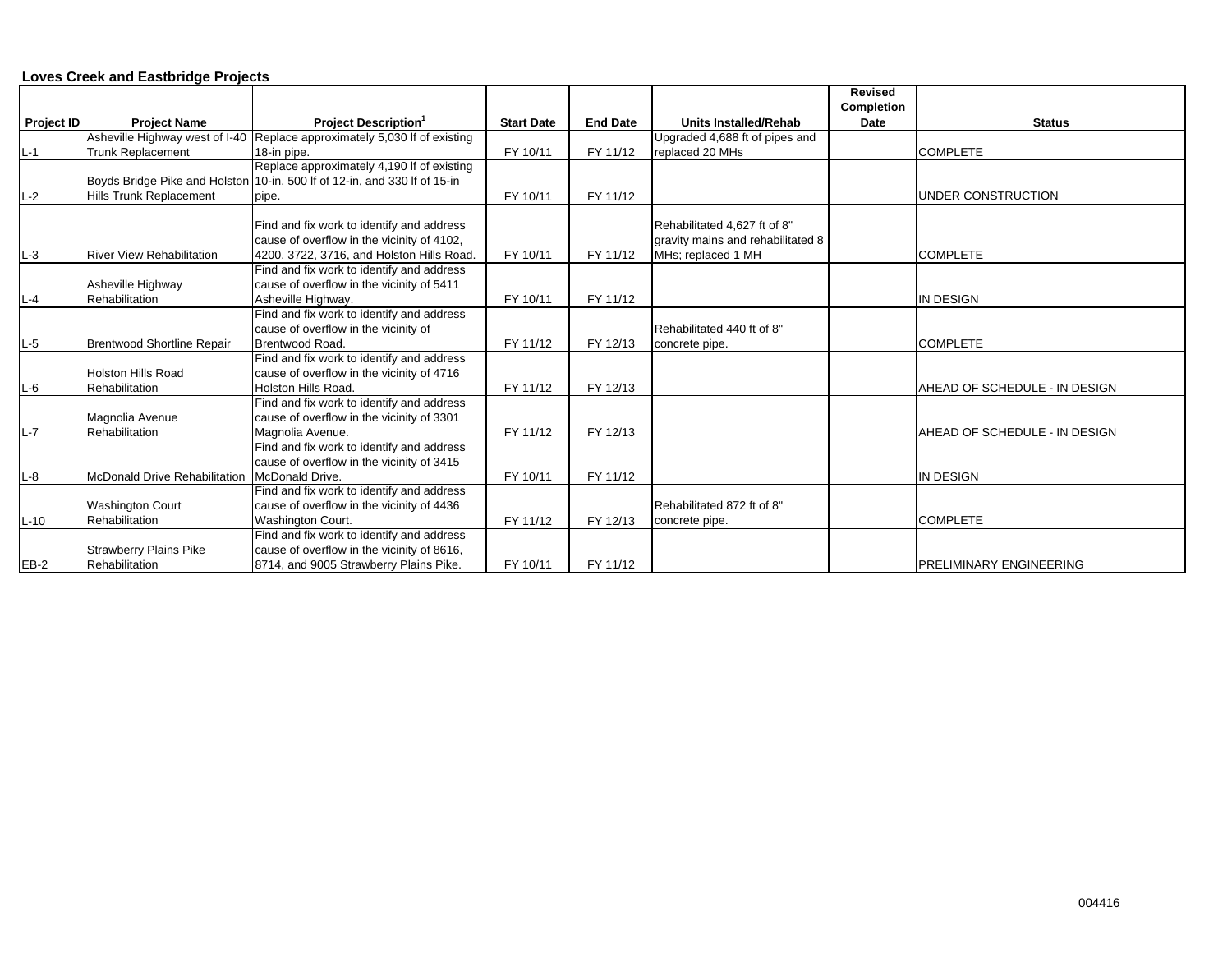#### **Loves Creek and Eastbridge Projects**

|                   |                                      |                                                                           |                   |                 |                                   | <b>Revised</b> |                                 |
|-------------------|--------------------------------------|---------------------------------------------------------------------------|-------------------|-----------------|-----------------------------------|----------------|---------------------------------|
|                   |                                      |                                                                           |                   |                 |                                   | Completion     |                                 |
| <b>Project ID</b> | <b>Project Name</b>                  | <b>Project Description</b> <sup>1</sup>                                   | <b>Start Date</b> | <b>End Date</b> | <b>Units Installed/Rehab</b>      | Date           | <b>Status</b>                   |
|                   | Asheville Highway west of I-40       | Replace approximately 5,030 If of existing                                |                   |                 | Upgraded 4,688 ft of pipes and    |                |                                 |
| $L-1$             | <b>Trunk Replacement</b>             | 18-in pipe.                                                               | FY 10/11          | FY 11/12        | replaced 20 MHs                   |                | <b>COMPLETE</b>                 |
|                   |                                      | Replace approximately 4,190 If of existing                                |                   |                 |                                   |                |                                 |
|                   |                                      | Boyds Bridge Pike and Holston 10-in, 500 If of 12-in, and 330 If of 15-in |                   |                 |                                   |                |                                 |
| $L-2$             | <b>Hills Trunk Replacement</b>       | pipe.                                                                     | FY 10/11          | FY 11/12        |                                   |                | <b>UNDER CONSTRUCTION</b>       |
|                   |                                      |                                                                           |                   |                 |                                   |                |                                 |
|                   |                                      | Find and fix work to identify and address                                 |                   |                 | Rehabilitated 4,627 ft of 8"      |                |                                 |
|                   |                                      | cause of overflow in the vicinity of 4102,                                |                   |                 | gravity mains and rehabilitated 8 |                |                                 |
| $L-3$             | <b>River View Rehabilitation</b>     | 4200, 3722, 3716, and Holston Hills Road.                                 | FY 10/11          | FY 11/12        | MHs; replaced 1 MH                |                | <b>COMPLETE</b>                 |
|                   |                                      | Find and fix work to identify and address                                 |                   |                 |                                   |                |                                 |
|                   | Asheville Highway                    | cause of overflow in the vicinity of 5411                                 |                   |                 |                                   |                |                                 |
| $L - 4$           | Rehabilitation                       | Asheville Highway.                                                        | FY 10/11          | FY 11/12        |                                   |                | IN DESIGN                       |
|                   |                                      | Find and fix work to identify and address                                 |                   |                 |                                   |                |                                 |
|                   |                                      | cause of overflow in the vicinity of                                      |                   |                 | Rehabilitated 440 ft of 8"        |                |                                 |
| $L-5$             | <b>Brentwood Shortline Repair</b>    | Brentwood Road.                                                           | FY 11/12          | FY 12/13        | concrete pipe.                    |                | <b>COMPLETE</b>                 |
|                   |                                      | Find and fix work to identify and address                                 |                   |                 |                                   |                |                                 |
|                   | Holston Hills Road                   | cause of overflow in the vicinity of 4716                                 |                   |                 |                                   |                |                                 |
| $L-6$             | Rehabilitation                       | Holston Hills Road.                                                       | FY 11/12          | FY 12/13        |                                   |                | AHEAD OF SCHEDULE - IN DESIGN   |
|                   |                                      | Find and fix work to identify and address                                 |                   |                 |                                   |                |                                 |
|                   | Magnolia Avenue                      | cause of overflow in the vicinity of 3301                                 |                   |                 |                                   |                |                                 |
| $L-7$             | Rehabilitation                       | Magnolia Avenue.                                                          | FY 11/12          | FY 12/13        |                                   |                | AHEAD OF SCHEDULE - IN DESIGN   |
|                   |                                      | Find and fix work to identify and address                                 |                   |                 |                                   |                |                                 |
|                   |                                      | cause of overflow in the vicinity of 3415                                 |                   |                 |                                   |                |                                 |
| $L-8$             | <b>McDonald Drive Rehabilitation</b> | McDonald Drive.                                                           | FY 10/11          | FY 11/12        |                                   |                | <b>IN DESIGN</b>                |
|                   |                                      | Find and fix work to identify and address                                 |                   |                 |                                   |                |                                 |
|                   | <b>Washington Court</b>              | cause of overflow in the vicinity of 4436                                 |                   |                 | Rehabilitated 872 ft of 8"        |                |                                 |
| $L-10$            | Rehabilitation                       | Washington Court.                                                         | FY 11/12          | FY 12/13        | concrete pipe.                    |                | <b>COMPLETE</b>                 |
|                   |                                      | Find and fix work to identify and address                                 |                   |                 |                                   |                |                                 |
|                   | <b>Strawberry Plains Pike</b>        | cause of overflow in the vicinity of 8616,                                |                   |                 |                                   |                |                                 |
| $EB-2$            | Rehabilitation                       | 8714, and 9005 Strawberry Plains Pike.                                    | FY 10/11          | FY 11/12        |                                   |                | <b>IPRELIMINARY ENGINEERING</b> |